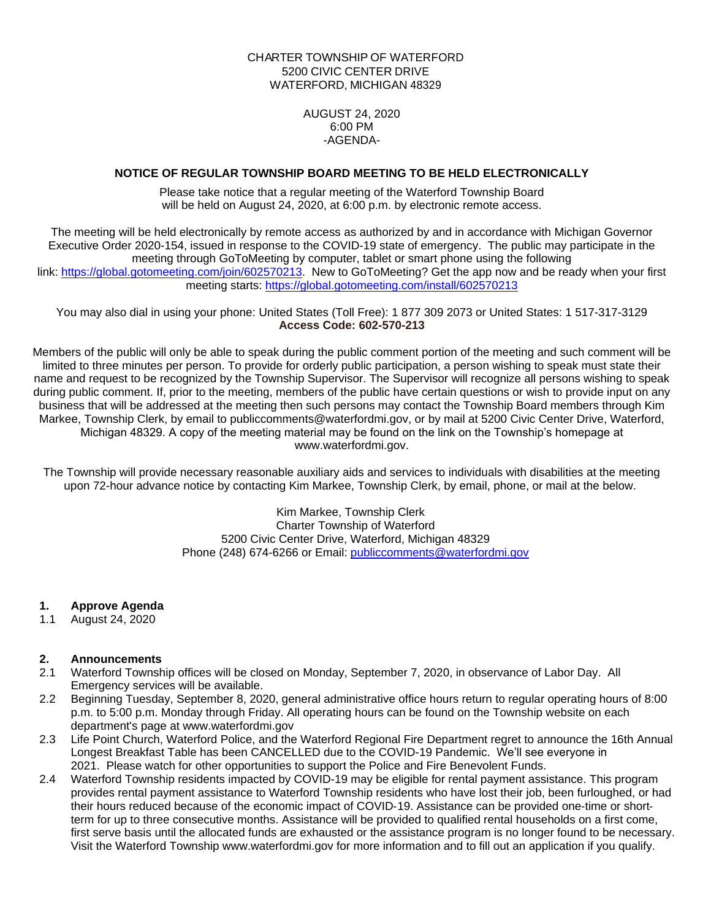## CHARTER TOWNSHIP OF WATERFORD 5200 CIVIC CENTER DRIVE WATERFORD, MICHIGAN 48329

AUGUST 24, 2020 6:00 PM -AGENDA-

## **NOTICE OF REGULAR TOWNSHIP BOARD MEETING TO BE HELD ELECTRONICALLY**

Please take notice that a regular meeting of the Waterford Township Board will be held on August 24, 2020, at 6:00 p.m. by electronic remote access.

The meeting will be held electronically by remote access as authorized by and in accordance with Michigan Governor Executive Order 2020-154, issued in response to the COVID-19 state of emergency. The public may participate in the meeting through GoToMeeting by computer, tablet or smart phone using the following link: [https://global.gotomeeting.com/join/602570213.](https://global.gotomeeting.com/join/602570213) New to GoToMeeting? Get the app now and be ready when your first meeting starts: <https://global.gotomeeting.com/install/602570213>

You may also dial in using your phone: United States (Toll Free): 1 877 309 2073 or United States: 1 517-317-3129 **Access Code: 602-570-213**

Members of the public will only be able to speak during the public comment portion of the meeting and such comment will be limited to three minutes per person. To provide for orderly public participation, a person wishing to speak must state their name and request to be recognized by the Township Supervisor. The Supervisor will recognize all persons wishing to speak during public comment. If, prior to the meeting, members of the public have certain questions or wish to provide input on any business that will be addressed at the meeting then such persons may contact the Township Board members through Kim Markee, Township Clerk, by email to publiccomments@waterfordmi.gov, or by mail at 5200 Civic Center Drive, Waterford, Michigan 48329. A copy of the meeting material may be found on the link on the Township's homepage at www.waterfordmi.gov.

The Township will provide necessary reasonable auxiliary aids and services to individuals with disabilities at the meeting upon 72-hour advance notice by contacting Kim Markee, Township Clerk, by email, phone, or mail at the below.

> Kim Markee, Township Clerk Charter Township of Waterford 5200 Civic Center Drive, Waterford, Michigan 48329 Phone (248) 674-6266 or Email: [publiccomments@waterfordmi.gov](mailto:publiccomments@waterfordmi.gov)

## **1. Approve Agenda**

1.1 August 24, 2020

### **2. Announcements**

- 2.1 Waterford Township offices will be closed on Monday, September 7, 2020, in observance of Labor Day. All Emergency services will be available.
- 2.2 Beginning Tuesday, September 8, 2020, general administrative office hours return to regular operating hours of 8:00 p.m. to 5:00 p.m. Monday through Friday. All operating hours can be found on the Township website on each department's page at www.waterfordmi.gov
- 2.3 Life Point Church, Waterford Police, and the Waterford Regional Fire Department regret to announce the 16th Annual Longest Breakfast Table has been CANCELLED due to the COVID-19 Pandemic. We'll see everyone in 2021. Please watch for other opportunities to support the Police and Fire Benevolent Funds.
- 2.4 Waterford Township residents impacted by COVID-19 may be eligible for rental payment assistance. This program provides rental payment assistance to Waterford Township residents who have lost their job, been furloughed, or had their hours reduced because of the economic impact of COVID-19. Assistance can be provided one-time or shortterm for up to three consecutive months. Assistance will be provided to qualified rental households on a first come, first serve basis until the allocated funds are exhausted or the assistance program is no longer found to be necessary. Visit the Waterford Township www.waterfordmi.gov for more information and to fill out an application if you qualify.